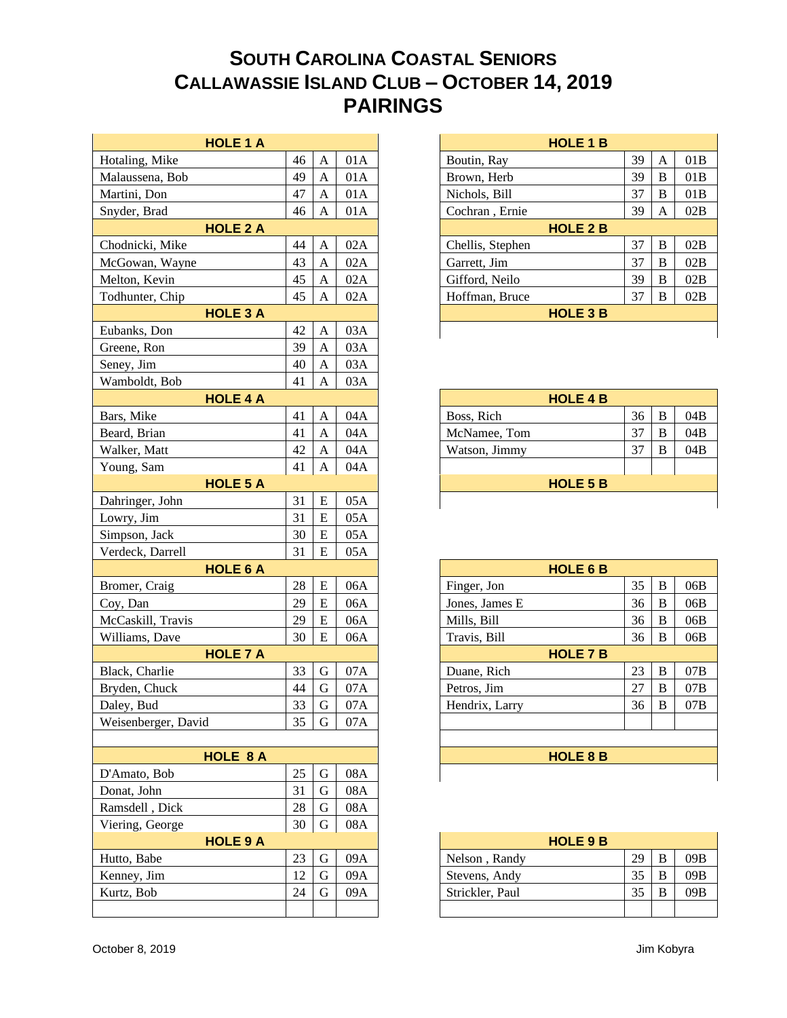## **SOUTH CAROLINA COASTAL SENIORS CALLAWASSIE ISLAND CLUB – OCTOBER 14, 2019 PAIRINGS**

|                     | <b>HOLE 1 A</b> |                           |     |
|---------------------|-----------------|---------------------------|-----|
| Hotaling, Mike      | 46              | $\mathbf{A}$              | 01A |
| Malaussena, Bob     | 49              | $\mathbf{A}$              | 01A |
| Martini, Don        | 47              | $\mathbf{A}$              | 01A |
| Snyder, Brad        | 46              | $\mathbf{A}$              | 01A |
|                     | <b>HOLE 2 A</b> |                           |     |
| Chodnicki, Mike     | 44              | A                         | 02A |
| McGowan, Wayne      | 43              | $\boldsymbol{\mathsf{A}}$ | 02A |
| Melton, Kevin       | 45              | $\mathbf{A}$              | 02A |
| Todhunter, Chip     | 45              | $\mathbf{A}$              | 02A |
|                     | <b>HOLE 3 A</b> |                           |     |
| Eubanks, Don        | 42              | $\mathbf{A}$              | 03A |
| Greene, Ron         | 39              | $\mathbf{A}$              | 03A |
| Seney, Jim          | 40              | $\mathbf{A}$              | 03A |
| Wamboldt, Bob       | 41              | $\mathbf{A}$              | 03A |
|                     | <b>HOLE 4 A</b> |                           |     |
| Bars, Mike          | 41              | $\mathbf{A}$              | 04A |
| Beard, Brian        | 41              | $\mathbf{A}$              | 04A |
| Walker, Matt        | 42              | $\boldsymbol{A}$          | 04A |
| Young, Sam          | 41              | $\overline{A}$            | 04A |
|                     | <b>HOLE 5 A</b> |                           |     |
| Dahringer, John     | 31              | ${\bf E}$                 | 05A |
| Lowry, Jim          | 31              | ${\bf E}$                 | 05A |
| Simpson, Jack       | 30              | E                         | 05A |
| Verdeck, Darrell    | 31              | E                         | 05A |
|                     | <b>HOLE 6 A</b> |                           |     |
| Bromer, Craig       | 28              | ${\bf E}$                 | 06A |
| Coy, Dan            | 29              | ${\bf E}$                 | 06A |
| McCaskill, Travis   | 29              | ${\bf E}$                 | 06A |
| Williams, Dave      | 30              | E                         | 06A |
|                     | <b>HOLE 7 A</b> |                           |     |
| Black, Charlie      | 33              | $\mathbf G$               | 07A |
| Bryden, Chuck       | 44              | ${\bf G}$                 | 07A |
| Daley, Bud          | 33              | $\mathbf G$               | 07A |
| Weisenberger, David | 35              | G                         | 07A |
|                     |                 |                           |     |
|                     | <b>HOLE 8 A</b> |                           |     |
| D'Amato, Bob        | 25              | $\mathbf G$               | 08A |
| Donat, John         | 31              | $\mathbf G$               | 08A |
| Ramsdell, Dick      | 28              | G                         | 08A |
| Viering, George     | 30              | $\mathbf G$               | 08A |
|                     | <b>HOLE 9 A</b> |                           |     |
| Hutto, Babe         | 23              | G                         | 09A |
| Kenney, Jim         | 12              | $\mathbf G$               | 09A |
| Kurtz, Bob          | 24              | G                         | 09A |
|                     |                 |                           |     |
|                     |                 |                           |     |

| <b>HOLE 1 B</b>  |    |   |     |  |  |  |
|------------------|----|---|-----|--|--|--|
| Boutin, Ray      | 39 | A | 01B |  |  |  |
| Brown, Herb      | 39 | В | 01B |  |  |  |
| Nichols, Bill    | 37 | В | 01B |  |  |  |
| Cochran, Ernie   | 39 | А | 02B |  |  |  |
| <b>HOLE 2 B</b>  |    |   |     |  |  |  |
| Chellis, Stephen | 37 | в | 02B |  |  |  |
| Garrett, Jim     | 37 | В | 02B |  |  |  |
| Gifford, Neilo   | 39 | В | 02B |  |  |  |
| Hoffman, Bruce   | 37 | B | 02B |  |  |  |
| <b>HOLE 3 B</b>  |    |   |     |  |  |  |
|                  |    |   |     |  |  |  |

| <b>HOLE 4 B</b> |    |   |     |  |  |  |
|-----------------|----|---|-----|--|--|--|
| Boss, Rich      | 36 | B | 04B |  |  |  |
| McNamee, Tom    | 31 | в | 04B |  |  |  |
| Watson, Jimmy   | 31 | в | 04B |  |  |  |
|                 |    |   |     |  |  |  |
| <b>HOLE 5 B</b> |    |   |     |  |  |  |
|                 |    |   |     |  |  |  |

| <b>HOLE 6 B</b> |    |   |     |  |  |  |
|-----------------|----|---|-----|--|--|--|
| Finger, Jon     | 35 | В | 06B |  |  |  |
| Jones, James E  | 36 | В | 06B |  |  |  |
| Mills, Bill     | 36 | В | 06B |  |  |  |
| Travis, Bill    | 36 | B | 06B |  |  |  |
| <b>HOLE 7 B</b> |    |   |     |  |  |  |
| Duane, Rich     | 23 | В | 07B |  |  |  |
| Petros, Jim     | 27 | В | 07B |  |  |  |
| Hendrix, Larry  | 36 | В | 07B |  |  |  |
|                 |    |   |     |  |  |  |
|                 |    |   |     |  |  |  |
| <b>HOLE 8 B</b> |    |   |     |  |  |  |
|                 |    |   |     |  |  |  |

| <b>HOLE 9 B</b> |    |   |     |  |  |  |  |
|-----------------|----|---|-----|--|--|--|--|
| Nelson, Randy   | 29 | в | 09B |  |  |  |  |
| Stevens, Andy   | 35 | В | 09B |  |  |  |  |
| Strickler, Paul | 35 | B | 09B |  |  |  |  |
|                 |    |   |     |  |  |  |  |